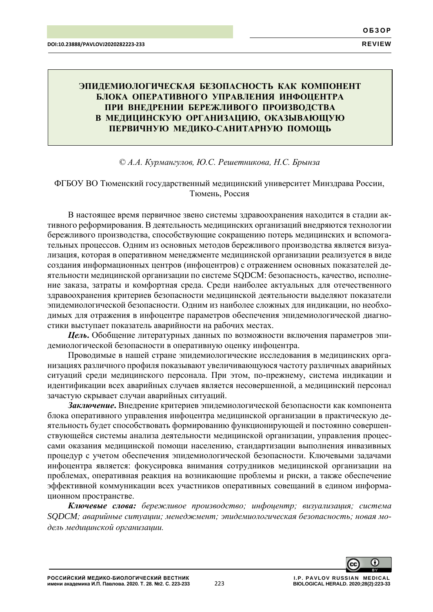# **ЭПИДЕМИОЛОГИЧЕСКАЯ БЕЗОПАСНОСТЬ КАК КОМПОНЕНТ БЛОКА ОПЕРАТИВНОГО УПРАВЛЕНИЯ ИНФОЦЕНТРА ПРИ ВНЕДРЕНИИ БЕРЕЖЛИВОГО ПРОИЗВОДСТВА В МЕДИЦИНСКУЮ ОРГАНИЗАЦИЮ, ОКАЗЫВАЮЩУЮ ПЕРВИЧНУЮ МЕДИКО-САНИТАРНУЮ ПОМОЩЬ**

## *© А.А. Курмангулов, Ю.С. Решетникова, Н.С. Брынза*

# ФГБОУ ВО Тюменский государственный медицинский университет Минздрава России, Тюмень, Россия

В настоящее время первичное звено системы здравоохранения находится в стадии активного реформирования. В деятельность медицинских организаций внедряются технологии бережливого производства, способствующие сокращению потерь медицинских и вспомогательных процессов. Одним из основных методов бережливого производства является визуализация, которая в оперативном менеджменте медицинской организации реализуется в виде создания информационных центров (инфоцентров) с отражением основных показателей деятельности медицинской организации по системе SQDCM: безопасность, качество, исполнение заказа, затраты и комфортная среда. Среди наиболее актуальных для отечественного здравоохранения критериев безопасности медицинской деятельности выделяют показатели эпидемиологической безопасности. Одним из наиболее сложных для индикации, но необходимых для отражения в инфоцентре параметров обеспечения эпидемиологической диагностики выступает показатель аварийности на рабочих местах.

*Цель***.** Обобщение литературных данных по возможности включения параметров эпидемиологической безопасности в оперативную оценку инфоцентра.

Проводимые в нашей стране эпидемиологические исследования в медицинских организациях различного профиля показывают увеличивающуюся частоту различных аварийных ситуаций среди медицинского персонала. При этом, по-прежнему, система индикации и идентификации всех аварийных случаев является несовершенной, а медицинский персонал зачастую скрывает случаи аварийных ситуаций.

*Заключение***.** Внедрение критериев эпидемиологической безопасности как компонента блока оперативного управления инфоцентра медицинской организации в практическую деятельность будет способствовать формированию функционирующей и постоянно совершенствующейся системы анализа деятельности медицинской организации, управления процессами оказания медицинской помощи населению, стандартизации выполнения инвазивных процедур с учетом обеспечения эпидемиологической безопасности. Ключевыми задачами инфоцентра является: фокусировка внимания сотрудников медицинской организации на проблемах, оперативная реакция на возникающие проблемы и риски, а также обеспечение эффективной коммуникации всех участников оперативных совещаний в едином информационном пространстве.

*Ключевые слова: бережливое производство; инфоцентр; визуализация; система SQDCM; аварийные ситуации; менеджмент; эпидемиологическая безопасность; новая модель медицинской организации.*

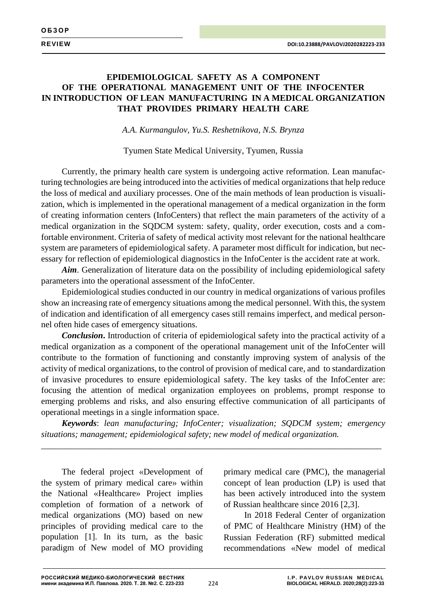# **EPIDEMIOLOGICAL SAFETY AS A COMPONENT OF THE OPERATIONAL MANAGEMENT UNIT OF THE INFOCENTER IN INTRODUCTION OF LEAN MANUFACTURING IN A MEDICAL ORGANIZATION THAT PROVIDES PRIMARY HEALTH CARE**

*A.A. Kurmangulov, Yu.S. Reshetnikova, N.S. Brynza*

Tyumen State Medical University, Tyumen, Russia

Currently, the primary health care system is undergoing active reformation. Lean manufacturing technologies are being introduced into the activities of medical organizations that help reduce the loss of medical and auxiliary processes. One of the main methods of lean production is visualization, which is implemented in the operational management of a medical organization in the form of creating information centers (InfoCenters) that reflect the main parameters of the activity of a medical organization in the SQDCM system: safety, quality, order execution, costs and a comfortable environment. Criteria of safety of medical activity most relevant for the national healthcare system are parameters of epidemiological safety. A parameter most difficult for indication, but necessary for reflection of epidemiological diagnostics in the InfoCenter is the accident rate at work.

*Aim*. Generalization of literature data on the possibility of including epidemiological safety parameters into the operational assessment of the InfoCenter.

Epidemiological studies conducted in our country in medical organizations of various profiles show an increasing rate of emergency situations among the medical personnel. With this, the system of indication and identification of all emergency cases still remains imperfect, and medical personnel often hide cases of emergency situations.

*Conclusion***.** Introduction of criteria of epidemiological safety into the practical activity of a medical organization as a component of the operational management unit of the InfoCenter will contribute to the formation of functioning and constantly improving system of analysis of the activity of medical organizations, to the control of provision of medical care, and to standardization of invasive procedures to ensure epidemiological safety. The key tasks of the InfoCenter are: focusing the attention of medical organization employees on problems, prompt response to emerging problems and risks, and also ensuring effective communication of all participants of operational meetings in a single information space.

*Keywords*: *lean manufacturing; InfoCenter; visualization; SQDCM system; emergency situations; management; epidemiological safety; new model of medical organization.*

\_\_\_\_\_\_\_\_\_\_\_\_\_\_\_\_\_\_\_\_\_\_\_\_\_\_\_\_\_\_\_\_\_\_\_\_\_\_\_\_\_\_\_\_\_\_\_\_\_\_\_\_\_\_\_\_\_\_\_\_\_\_\_\_\_\_\_\_\_\_\_\_\_\_\_\_\_\_

The federal project «Development of the system of primary medical care» within the National «Healthcare» Project implies completion of formation of a network of medical organizations (MO) based on new principles of providing medical care to the population [1]. In its turn, as the basic paradigm of New model of MO providing

primary medical care (PMC), the managerial concept of lean production (LP) is used that has been actively introduced into the system of Russian healthcare since 2016 [2,3].

In 2018 Federal Center of organization of PMC of Healthcare Ministry (HM) of the Russian Federation (RF) submitted medical recommendations «New model of medical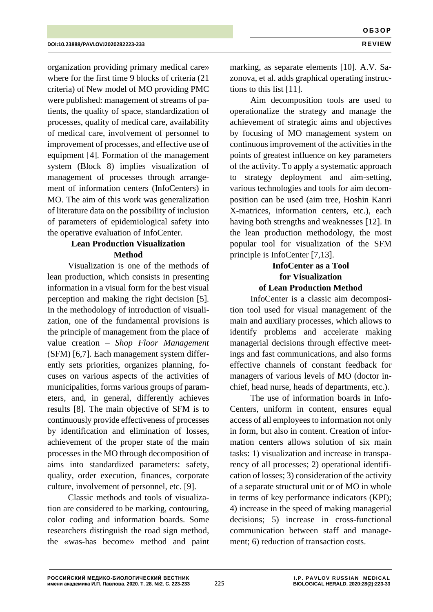organization providing primary medical care» where for the first time 9 blocks of criteria (21 criteria) of New model of MO providing PMC were published: management of streams of patients, the quality of space, standardization of processes, quality of medical care, availability of medical care, involvement of personnel to improvement of processes, and effective use of equipment [4]. Formation of the management system (Block 8) implies visualization of management of processes through arrangement of information centers (InfoCenters) in MO. The aim of this work was generalization of literature data on the possibility of inclusion of parameters of epidemiological safety into the operative evaluation of InfoCenter.

# **Lean Production Visualization Method**

Visualization is one of the methods of lean production, which consists in presenting information in a visual form for the best visual perception and making the right decision [5]. In the methodology of introduction of visualization, one of the fundamental provisions is the principle of management from the place of value creation – *Shop Floor Management* (SFM) [6,7]. Each management system differently sets priorities, organizes planning, focuses on various aspects of the activities of municipalities, forms various groups of parameters, and, in general, differently achieves results [8]. The main objective of SFM is to continuously provide effectiveness of processes by identification and elimination of losses, achievement of the proper state of the main processes in the MO through decomposition of aims into standardized parameters: safety, quality, order execution, finances, corporate culture, involvement of personnel, etc. [9].

Classic methods and tools of visualization are considered to be marking, contouring, color coding and information boards. Some researchers distinguish the road sign method, the «was-has become» method and paint marking, as separate elements [10]. A.V. Sazonova, et al. adds graphical operating instructions to this list [11].

Aim decomposition tools are used to operationalize the strategy and manage the achievement of strategic aims and objectives by focusing of MO management system on continuous improvement of the activities in the points of greatest influence on key parameters of the activity. To apply a systematic approach to strategy deployment and aim-setting, various technologies and tools for aim decomposition can be used (aim tree, Hoshin Kanri X-matrices, information centers, etc.), each having both strengths and weaknesses [12]. In the lean production methodology, the most popular tool for visualization of the SFM principle is InfoCenter [7,13].

# **InfoCenter as a Tool for Visualization of Lean Production Method**

InfoCenter is a classic aim decomposition tool used for visual management of the main and auxiliary processes, which allows to identify problems and accelerate making managerial decisions through effective meetings and fast communications, and also forms effective channels of constant feedback for managers of various levels of MO (doctor inchief, head nurse, heads of departments, etc.).

The use of information boards in Info-Centers, uniform in content, ensures equal access of all employees to information not only in form, but also in content. Creation of information centers allows solution of six main tasks: 1) visualization and increase in transparency of all processes; 2) operational identification of losses; 3) consideration of the activity of a separate structural unit or of MO in whole in terms of key performance indicators (KPI); 4) increase in the speed of making managerial decisions; 5) increase in cross-functional communication between staff and management; 6) reduction of transaction costs.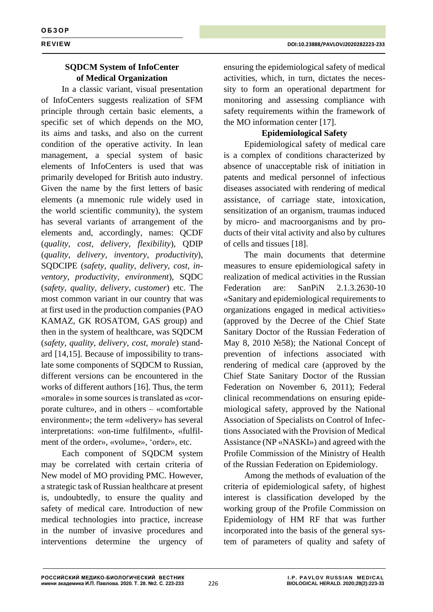# **SQDCM System of InfoCenter of Medical Organization**

In a classic variant, visual presentation of InfoCenters suggests realization of SFM principle through certain basic elements, a specific set of which depends on the MO, its aims and tasks, and also on the current condition of the operative activity. In lean management, a special system of basic elements of InfoCenters is used that was primarily developed for British auto industry. Given the name by the first letters of basic elements (a mnemonic rule widely used in the world scientific community), the system has several variants of arrangement of the elements and, accordingly, names: QCDF (*quality, cost, delivery, flexibility*), QDIP (*quality, delivery, inventory, productivity*), SQDCIPE (*safety, quality, delivery, cost, inventory, productivity, environment*), SQDC (*safety, quality, delivery, customer*) etc. The most common variant in our country that was at first used in the production companies (PAO KAMAZ, GK ROSATOM, GAS group) and then in the system of healthcare, was SQDCM (*safety, quality, delivery, cost, morale*) standard [14,15]. Because of impossibility to translate some components of SQDCM to Russian, different versions can be encountered in the works of different authors [16]. Thus, the term «morale» in some sources is translated as «corporate culture», and in others – «comfortable environment»; the term «delivery» has several interpretations: «on-time fulfilment», «fulfilment of the order», «volume», 'order», etc.

Each component of SQDCM system may be correlated with certain criteria of New model of MO providing PMC. However, a strategic task of Russian healthcare at present is, undoubtedly, to ensure the quality and safety of medical care. Introduction of new medical technologies into practice, increase in the number of invasive procedures and interventions determine the urgency of

ensuring the epidemiological safety of medical activities, which, in turn, dictates the necessity to form an operational department for monitoring and assessing compliance with safety requirements within the framework of the MO information center [17].

# **Epidemiological Safety**

Epidemiological safety of medical care is a complex of conditions characterized by absence of unacceptable risk of initiation in patents and medical personnel of infectious diseases associated with rendering of medical assistance, of carriage state, intoxication, sensitization of an organism, traumas induced by micro- and macroorganisms and by products of their vital activity and also by cultures of cells and tissues [18].

The main documents that determine measures to ensure epidemiological safety in realization of medical activities in the Russian Federation are: SanPiN 2.1.3.2630-10 «Sanitary and epidemiological requirements to organizations engaged in medical activities» (approved by the Decree of the Chief State Sanitary Doctor of the Russian Federation of May 8, 2010 №58); the National Concept of prevention of infections associated with rendering of medical care (approved by the Chief State Sanitary Doctor of the Russian Federation on November 6, 2011); Federal clinical recommendations on ensuring epidemiological safety, approved by the National Association of Specialists on Control of Infections Associated with the Provision of Medical Assistance (NP «NASKI») and agreed with the Profile Commission of the Ministry of Health of the Russian Federation on Epidemiology.

Among the methods of evaluation of the criteria of epidemiological safety, of highest interest is classification developed by the working group of the Profile Commission on Epidemiology of HM RF that was further incorporated into the basis of the general system of parameters of quality and safety of

226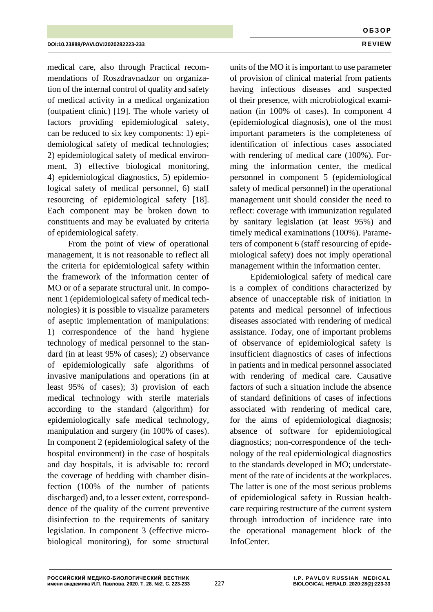medical care, also through Practical recommendations of Roszdravnadzor on organization of the internal control of quality and safety of medical activity in a medical organization (outpatient clinic) [19]. The whole variety of factors providing epidemiological safety, can be reduced to six key components: 1) epidemiological safety of medical technologies; 2) epidemiological safety of medical environment, 3) effective biological monitoring, 4) epidemiological diagnostics, 5) epidemiological safety of medical personnel, 6) staff resourcing of epidemiological safety [18]. Each component may be broken down to constituents and may be evaluated by criteria of epidemiological safety.

From the point of view of operational management, it is not reasonable to reflect all the criteria for epidemiological safety within the framework of the information center of MO or of a separate structural unit. In component 1 (epidemiological safety of medical technologies) it is possible to visualize parameters of aseptic implementation of manipulations: 1) correspondence of the hand hygiene technology of medical personnel to the standard (in at least 95% of cases); 2) observance of epidemiologically safe algorithms of invasive manipulations and operations (in at least 95% of cases); 3) provision of each medical technology with sterile materials according to the standard (algorithm) for epidemiologically safe medical technology, manipulation and surgery (in 100% of cases). In component 2 (epidemiological safety of the hospital environment) in the case of hospitals and day hospitals, it is advisable to: record the coverage of bedding with chamber disinfection (100% of the number of patients discharged) and, to a lesser extent, corresponddence of the quality of the current preventive disinfection to the requirements of sanitary legislation. In component 3 (effective microbiological monitoring), for some structural

units of the MO it is important to use parameter of provision of clinical material from patients having infectious diseases and suspected of their presence, with microbiological examination (in 100% of cases). In component 4 (epidemiological diagnosis), one of the most important parameters is the completeness of identification of infectious cases associated with rendering of medical care (100%). Forming the information center, the medical personnel in component 5 (epidemiological safety of medical personnel) in the operational management unit should consider the need to reflect: coverage with immunization regulated by sanitary legislation (at least 95%) and timely medical examinations (100%). Parameters of component 6 (staff resourcing of epidemiological safety) does not imply operational management within the information center.

Epidemiological safety of medical care is a complex of conditions characterized by absence of unacceptable risk of initiation in patents and medical personnel of infectious diseases associated with rendering of medical assistance. Today, one of important problems of observance of epidemiological safety is insufficient diagnostics of cases of infections in patients and in medical personnel associated with rendering of medical care. Causative factors of such a situation include the absence of standard definitions of cases of infections associated with rendering of medical care, for the aims of epidemiological diagnosis; absence of software for epidemiological diagnostics; non-correspondence of the technology of the real epidemiological diagnostics to the standards developed in MO; understatement of the rate of incidents at the workplaces. The latter is one of the most serious problems of epidemiological safety in Russian healthcare requiring restructure of the current system through introduction of incidence rate into the operational management block of the InfoCenter.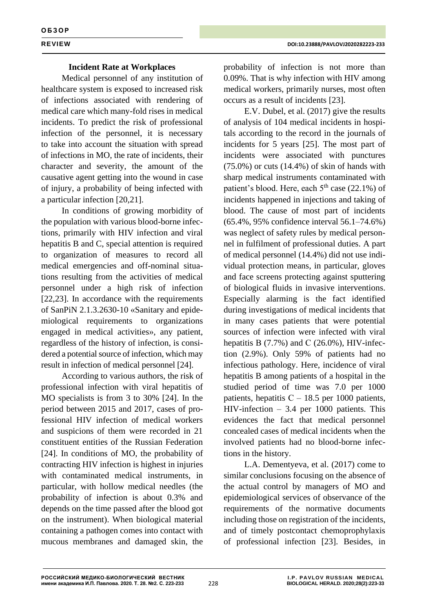## **Incident Rate at Workplaces**

Medical personnel of any institution of healthcare system is exposed to increased risk of infections associated with rendering of medical care which many-fold rises in medical incidents. To predict the risk of professional infection of the personnel, it is necessary to take into account the situation with spread of infections in MO, the rate of incidents, their character and severity, the amount of the causative agent getting into the wound in case of injury, a probability of being infected with a particular infection [20,21].

In conditions of growing morbidity of the population with various blood-borne infections, primarily with HIV infection and viral hepatitis B and C, special attention is required to organization of measures to record all medical emergencies and off-nominal situations resulting from the activities of medical personnel under a high risk of infection [22,23]. In accordance with the requirements of SanPiN 2.1.3.2630-10 «Sanitary and epidemiological requirements to organizations engaged in medical activities», any patient, regardless of the history of infection, is considered a potential source of infection, which may result in infection of medical personnel [24].

According to various authors, the risk of professional infection with viral hepatitis of MO specialists is from 3 to 30% [24]. In the period between 2015 and 2017, cases of professional HIV infection of medical workers and suspicions of them were recorded in 21 constituent entities of the Russian Federation [24]. In conditions of MO, the probability of contracting HIV infection is highest in injuries with contaminated medical instruments, in particular, with hollow medical needles (the probability of infection is about 0.3% and depends on the time passed after the blood got on the instrument). When biological material containing a pathogen comes into contact with mucous membranes and damaged skin, the

probability of infection is not more than 0.09%. That is why infection with HIV among medical workers, primarily nurses, most often occurs as a result of incidents [23].

E.V. Dubel, et al. (2017) give the results of analysis of 104 medical incidents in hospitals according to the record in the journals of incidents for 5 years [25]. The most part of incidents were associated with punctures (75.0%) or cuts (14.4%) of skin of hands with sharp medical instruments contaminated with patient's blood. Here, each  $5<sup>th</sup>$  case (22.1%) of incidents happened in injections and taking of blood. The cause of most part of incidents (65.4%, 95% confidence interval 56.1–74.6%) was neglect of safety rules by medical personnel in fulfilment of professional duties. A part of medical personnel (14.4%) did not use individual protection means, in particular, gloves and face screens protecting against sputtering of biological fluids in invasive interventions. Especially alarming is the fact identified during investigations of medical incidents that in many cases patients that were potential sources of infection were infected with viral hepatitis B  $(7.7\%)$  and C  $(26.0\%)$ , HIV-infection (2.9%). Only 59% of patients had no infectious pathology. Here, incidence of viral hepatitis B among patients of a hospital in the studied period of time was 7.0 per 1000 patients, hepatitis  $C - 18.5$  per 1000 patients, HIV-infection – 3.4 per 1000 patients. This evidences the fact that medical personnel concealed cases of medical incidents when the involved patients had no blood-borne infections in the history.

L.A. Dementyeva, et al. (2017) come to similar conclusions focusing on the absence of the actual control by managers of MO and epidemiological services of observance of the requirements of the normative documents including those on registration of the incidents, and of timely postcontact chemoprophylaxis of professional infection [23]. Besides, in

228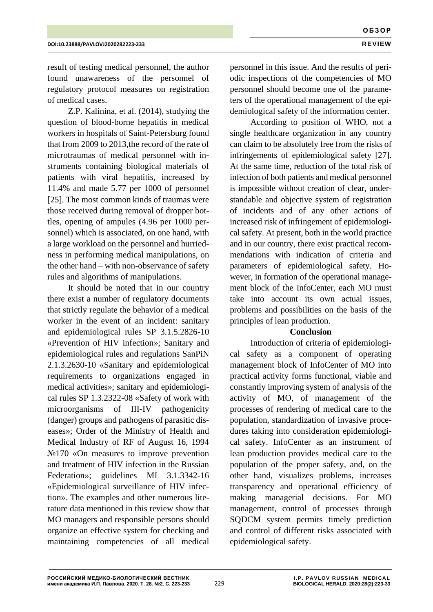result of testing medical personnel, the author found unawareness of the personnel of regulatory protocol measures on registration of medical cases.

Z.P. Kalinina, et al. (2014), studying the question of blood-borne hepatitis in medical workers in hospitals of Saint-Petersburg found that from 2009 to 2013,the record of the rate of microtraumas of medical personnel with instruments containing biological materials of patients with viral hepatitis, increased by 11.4% and made 5.77 per 1000 of personnel [25]. The most common kinds of traumas were those received during removal of dropper bottles, opening of ampules (4.96 per 1000 personnel) which is associated, on one hand, with a large workload on the personnel and hurriedness in performing medical manipulations, on the other hand – with non-observance of safety rules and algorithms of manipulations.

It should be noted that in our country there exist a number of regulatory documents that strictly regulate the behavior of a medical worker in the event of an incident: sanitary and epidemiological rules SP 3.1.5.2826-10 «Prevention of HIV infection»; Sanitary and epidemiological rules and regulations SanPiN 2.1.3.2630-10 «Sanitary and epidemiological requirements to organizations engaged in medical activities»; sanitary and epidemiological rules SP 1.3.2322-08 «Safety of work with microorganisms of III-IV pathogenicity (danger) groups and pathogens of parasitic diseases»; Order of the Ministry of Health and Medical Industry of RF of August 16, 1994 №170 «On measures to improve prevention and treatment of HIV infection in the Russian Federation»; guidelines MI 3.1.3342-16 «Epidemiological surveillance of HIV infection». The examples and other numerous literature data mentioned in this review show that MO managers and responsible persons should organize an effective system for checking and maintaining competencies of all medical

personnel in this issue. And the results of periodic inspections of the competencies of MO personnel should become one of the parameters of the operational management of the epidemiological safety of the information center.

According to position of WHO, not a single healthcare organization in any country can claim to be absolutely free from the risks of infringements of epidemiological safety [27]. At the same time, reduction of the total risk of infection of both patients and medical personnel is impossible without creation of clear, understandable and objective system of registration of incidents and of any other actions of increased risk of infringement of epidemiological safety. At present, both in the world practice and in our country, there exist practical recommendations with indication of criteria and parameters of epidemiological safety. However, in formation of the operational management block of the InfoCenter, each MO must take into account its own actual issues, problems and possibilities on the basis of the principles of lean production.

## **Conclusion**

Introduction of criteria of epidemiological safety as a component of operating management block of InfoCenter of MO into practical activity forms functional, viable and constantly improving system of analysis of the activity of MO, of management of the processes of rendering of medical care to the population, standardization of invasive procedures taking into consideration epidemiological safety. InfoCenter as an instrument of lean production provides medical care to the population of the proper safety, and, on the other hand, visualizes problems, increases transparency and operational efficiency of making managerial decisions. For MO management, control of processes through SQDCM system permits timely prediction and control of different risks associated with epidemiological safety.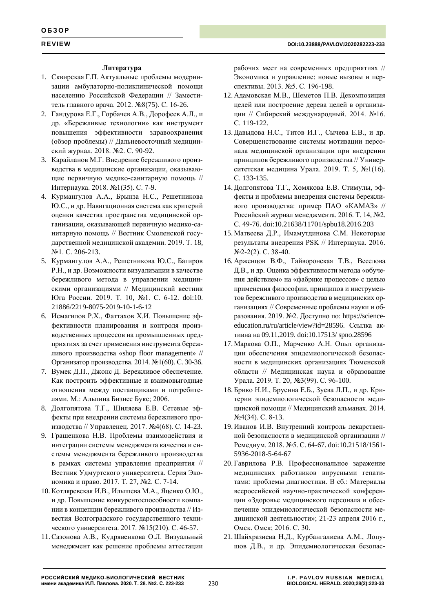## **Литература**

- 1. Сквирская Г.П. Актуальные проблемы модернизации амбулаторно-поликлинической помощи населению Российской Федерации // Заместитель главного врача. 2012. №8(75). С. 16-26.
- 2. Гандурова Е.Г., Горбачев А.В., Дорофеев А.Л., и др. «Бережливые технологии» как инструмент повышения эффективности здравоохранения (обзор проблемы) // Дальневосточный медицинский журнал. 2018. №2. С. 90-92.
- 3. Карайланов М.Г. Внедрение бережливого производства в медицинские организации, оказывающие первичную медико-санитарную помощь // Интернаука. 2018. №1(35). С. 7-9.
- 4. Курмангулов А.А., Брынза Н.С., Решетникова Ю.С., и др. Навигационная система как критерий оценки качества пространства медицинской организации, оказывающей первичную медико-санитарную помощь // Вестник Смоленской государственной медицинской академии. 2019. Т. 18, №1. С. 206-213.
- 5. Курмангулов А.А., Решетникова Ю.С., Багиров Р.Н., и др. Возможности визуализации в качестве бережливого метода в управлении медицинскими организациями // Медицинский вестник Юга России. 2019. Т. 10, №1. С. 6-12. doi:10. 21886/2219-8075-2019-10-1-6-12
- 6. Исмагилов Р.Х., Фаттахов Х.И. Повышение эффективности планирования и контроля производственных процессов на промышленных предприятиях за счет применения инструмента бережливого производства «shop floor management» // Организатор производства. 2014. №1(60). С. 30-36.
- 7. Вумек Д.П., Джонс Д. Бережливое обеспечение. Как построить эффективные и взаимовыгодные отношения между поставщиками и потребителями. М.: Альпина Бизнес Букс; 2006.
- 8. Долгопятова Т.Г., Шиляева Е.В. Сетевые эффекты при внедрении системы бережливого производства // Управленец. 2017. №4(68). С. 14-23.
- 9. Гращенкова Н.В. Проблемы взаимодействия и интеграции системы менеджмента качества и системы менеджмента бережливого производства в рамках системы управления предприятия // Вестник Удмуртского университета. Серия Экономика и право. 2017. Т. 27, №2. С. 7-14.
- 10. Котляревская И.В., Илышева М.А., Яценко О.Ю., и др. Повышение конкурентоспособности компании в концепции бережливого производства // Известия Волгоградского государственного технического университета. 2017. №15(210). С. 46-57.
- 11.Сазонова А.В., Кудрявенкова О.Л. Визуальный менеджмент как решение проблемы аттестации

рабочих мест на современных предприятиях // Экономика и управление: новые вызовы и перспективы. 2013. №5. С. 196-198.

- 12. Адамовская М.В., Шеметов П.В. Декомпозиция целей или построение дерева целей в организации // Сибирский международный. 2014. №16. С. 119-122.
- 13.Давыдова Н.С., Титов И.Г., Сычева Е.В., и др. Совершенствование системы мотивации персонала медицинской организации при внедрении принципов бережливого производства // Университетская медицина Урала. 2019. Т. 5, №1(16). С. 133-135.
- 14.Долгопятова Т.Г., Хомякова Е.В. Стимулы, эффекты и проблемы внедрения системы бережливого производства: пример ПАО «КАМАЗ» // Российский журнал менеджмента. 2016. Т. 14, №2. С. 49-76. doi:10.21638/11701/spbu18.2016.203
- 15. Матвеева Д.Р., Имамутдинова С.М. Некоторые результаты внедрения PSK // Интернаука. 2016. №2-2(2). С. 38-40.
- 16. Арженцов В.Ф., Гайворонская Т.В., Веселова Д.В., и др. Оценка эффективности метода «обучения действием» на «фабрике процессов» с целью применения философии, принципов и инструментов бережливого производства в медицинских организациях // Современные проблемы науки и образования. 2019. №2. Доступно по: https://scienceeducation.ru/ru/article/view?id=28596. Ссылка активна на 09.11.2019. doi:10.17513/ spno.28596
- 17. Маркова О.П., Марченко А.Н. Опыт организации обеспечения эпидемиологической безопасности в медицинских организациях Тюменской области // Медицинская наука и образование Урала. 2019. Т. 20, №3(99). С. 96-100.
- 18. Брико Н.И., Брусина Е.Б., Зуева Л.П., и др. Критерии эпидемиологической безопасности медицинской помощи // Медицинский альманах. 2014. №4(34). С. 8-13.
- 19. Иванов И.В. Внутренний контроль лекарственной безопасности в медицинской организации // Ремедиум. 2018. №5. С. 64-67. doi:10.21518/1561- 5936-2018-5-64-67
- 20. Гаврилова Р.В. Профессиональное заражение медицинских работников вирусными гепатитами: проблемы диагностики. В сб.: Материалы всероссийской научно-практической конференции «Здоровье медицинского персонала и обеспечение эпидемиологической безопасности медицинской деятельности»; 21-23 апреля 2016 г., Омск. Омск; 2016. С. 30.
- 21.Шайхразиева Н.Д., Курбангалиева А.М., Лопушов Д.В., и др. Эпидемиологическая безопас-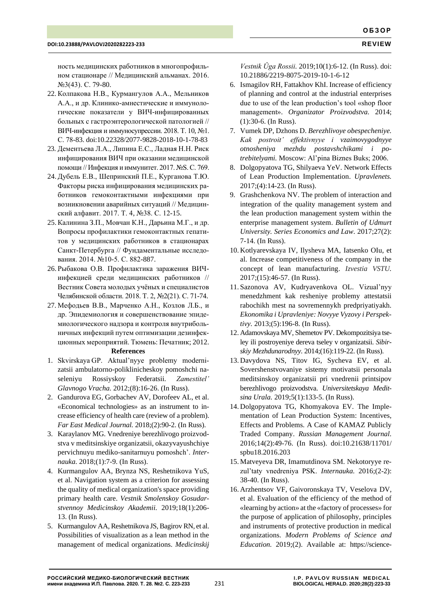ность медицинских работников в многопрофильном стационаре // Медицинский альманах. 2016. №3(43). С. 79-80.

- 22. Колпакова Н.В., Курмангулов А.А., Мельников А.А., и др. Клинико-амнестические и иммунологические показатели у ВИЧ-инфицированных больных с гастроэнтерологической патологией // ВИЧ-инфекция и иммуносупрессии. 2018. Т. 10, №1. С. 78-83. doi:10.22328/2077-9828-2018-10-1-78-83
- 23. Дементьева Л.А., Липина Е.С., Ладная Н.Н. Риск инфицирования ВИЧ при оказании медицинской помощи // Инфекция и иммунитет. 2017. №S. С. 769.
- 24.Дубель Е.В., Шепринский П.Е., Курганова Т.Ю. Факторы риска инфицирования медицинских работников гемоконтактными инфекциями при возникновении аварийных ситуаций // Медицинский алфавит. 2017. Т. 4, №38. С. 12-15.
- 25.Калинина З.П., Мовчан К.Н., Дарьина М.Г., и др. Вопросы профилактики гемоконтактных гепатитов у медицинских работников в стационарах Санкт-Петербурга // Фундаментальные исследования. 2014. №10-5. С. 882-887.
- 26. Рыбакова О.В. Профилактика заражения ВИЧинфекцией среди медицинских работников // Вестник Совета молодых учёных и специалистов Челябинской области. 2018. Т. 2, №2(21). С. 71-74.
- 27. Мефодьев В.В., Марченко А.Н., Козлов Л.Б., и др. Эпидемиология и совершенствование эпидемиологического надзора и контроля внутрибольничных инфекций путем оптимизации дезинфекционных мероприятий. Тюмень: Печатник; 2012.

## **References**

- 1. Skvirskaya GP. Aktual'nyye problemy modernizatsii ambulatorno-poliklinicheskoy pomoshchi naseleniyu Rossiyskoy Federatsii. *Zamestitel' Glavnogo Vracha.* 2012;(8):16-26. (In Russ).
- 2. Gandurova EG, Gorbachev AV, Dorofeev AL, et al. «Economical technologies» as an instrument to increase efficiency of health care (review of a problem). *Far East Medical Journal.* 2018;(2):90-2. (In Russ).
- 3. Karaylanov MG. Vnedreniye berezhlivogo proizvodstva v meditsinskiye organizatsii, okazyvayushchiye pervichnuyu mediko-sanitarnuyu pomoshch'. *Internauka.* 2018;(1):7-9. (In Russ).
- 4. Kurmangulov AA, Brynza NS, Reshetnikova YuS, et al. Navigation system as a criterion for assessing the quality of medical organization's space providing primary health care. *Vestnik Smolenskoy Gosudarstvennoy Medicinskoy Akademii.* 2019;18(1):206- 13. (In Russ).
- 5. Kurmangulov AA, Reshetnikova JS, Bagirov RN, et al. Possibilities of visualization as a lean method in the management of medical organizations. *Medicinskij*

*Vestnik Ûga Rossii.* 2019;10(1):6-12. (In Russ). doi: 10.21886/2219-8075-2019-10-1-6-12

- 6. Ismagilov RH, Fattakhov KhI. Increase of efficiency of planning and control at the industrial enterprises due to use of the lean production's tool «shop floor management». *Organizator Proizvodstva.* 2014; (1):30-6. (In Russ).
- 7. Vumek DP, Dzhons D. *Berezhlivoye obespecheniye. Kak postroit' effektivnyye i vzaimovygodnyye otnosheniya mezhdu postavshchikami i potrebitelyami.* Moscow: Al'pina Biznes Buks; 2006*.*
- 8. Dolgopyatova TG, Shilyaeva YeV. Network Effects of Lean Production Implementation. *Upravlenets.* 2017;(4):14-23. (In Russ).
- 9. Grashchenkova NV. The problem of interaction and integration of the quality management system and the lean production management system within the enterprise management system. *Bulletin of Udmurt University. Series Economics and Law.* 2017;27(2): 7-14. (In Russ).
- 10. Kotlyarevskaya IV, Ilysheva MA, Iatsenko OIu, et al. Increase competitiveness of the company in the concept of lean manufacturing. *Izvestia VSTU.*  2017;(15):46-57. (In Russ).
- 11. Sazonova AV, Kudryavenkova OL. Vizual'nyy menedzhment kak resheniye problemy attestatsii rabochikh mest na sovremennykh predpriyatiyakh. *Ekonomika i Upravleniye: Novyye Vyzovy i Perspektivy.* 2013;(5):196-8. (In Russ).
- 12. Adamovskaya MV, Shemetov PV. Dekompozitsiya tseley ili postroyeniye dereva tseley v organizatsii. *Sibirskiy Mezhdunarodnyy.* 2014;(16):119-22. (In Russ).
- 13. Davydova NS, Titov IG, Sycheva EV, et al. Sovershenstvovaniye sistemy motivatsii personala meditsinskoy organizatsii pri vnedrenii printsipov berezhlivogo proizvodstva. *Universitetskaya Meditsina Urala.* 2019;5(1):133-5. (In Russ).
- 14. Dolgopyatova TG, Khomyakova EV. The Implementation of Lean Production System: Incentives, Effects and Problems. A Case of KAMAZ Publicly Traded Company. *Russian Management Journal.* 2016;14(2):49-76. (In Russ). doi:10.21638/11701/ spbu18.2016.203
- 15. Matveyeva DR, Imamutdinova SM. Nekotoryye rezul'taty vnedreniya PSK. *Internauka.* 2016;(2-2): 38-40. (In Russ).
- 16. Arzhentsov VF, Gaivoronskaya TV, Veselova DV, et al. Evaluation of the efficiency of the method of «learning by action» at the «factory of processes» for the purpose of application of philosophy, principles and instruments of protective production in medical organizations. *Modern Problems of Science and Education.* 2019;(2). Available at: https://science-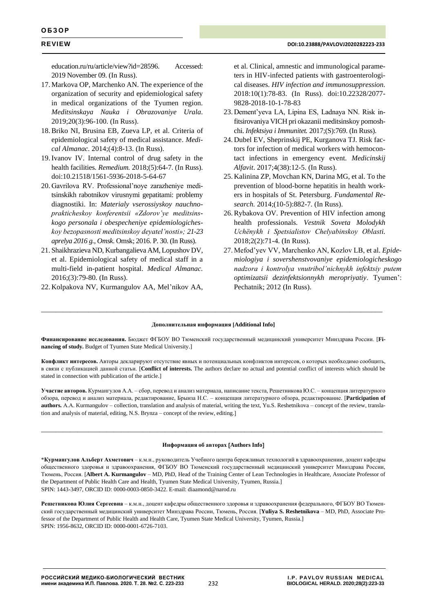education.ru/ru/article/view?id=28596. Accessed: 2019 November 09. (In Russ).

- 17. Markova OP, Marchenko AN. The experience of the organization of security and epidemiological safety in medical organizations of the Tyumen region. *Meditsinskaya Nauka i Obrazovaniye Urala.* 2019;20(3):96-100. (In Russ).
- 18.Briko NI, Brusina EB, Zueva LP, et al. Criteria of epidemiological safety of medical assistance. *Medical Almanac.* 2014;(4):8-13. (In Russ).
- 19.Ivanov IV. Internal control of drug safety in the health facilities. *Remedium.* 2018;(5):64-7. (In Russ). doi:10.21518/1561-5936-2018-5-64-67
- 20. Gavrilova RV. Professional'noye zarazheniye meditsinskikh rabotnikov virusnymi gepatitami: problemy diagnostiki. In: *Materialy vserossiyskoy nauchnoprakticheskoy konferentsii «Zdorov'ye meditsinskogo personala i obespecheniye epidemiologicheskoy bezopasnosti meditsinskoy deyatel'nosti»; 21-23 aprelya 2016 g., Omsk*. Omsk; 2016. P. 30. (In Russ).
- 21. Shaikhrazieva ND, Kurbangalieva AM, Lopushov DV, et al. Epidemiological safety of medical staff in a multi-field in-patient hospital. *Medical Almanac.* 2016;(3):79-80. (In Russ).
- 22. Kolpakova NV, Kurmangulov AA, Mel'nikov AA,

et al. Clinical, amnestic and immunological parameters in HIV-infected patients with gastroenterological diseases. *HIV infection and immunosuppression.*  2018:10(1):78-83. (In Russ). doi:10.22328/2077- 9828-2018-10-1-78-83

- 23. Dement'yeva LA, Lipina ES, Ladnaya NN. Risk infitsirovaniya VICH pri okazanii meditsinskoy pomoshchi. *Infektsiya i Immunitet.* 2017;(S):769. (In Russ).
- 24. Dubel EV, Sheprinskij PE, Kurganova TJ. Risk factors for infection of medical workers with hemocontact infections in emergency event. *Medicinskij Alfavit*. 2017;4(38):12-5. (In Russ).
- 25. Kalinina ZP, Movchan KN, Darina MG, et al. To the prevention of blood-borne hepatitis in health workers in hospitals of St. Petersburg. *Fundamental Research.* 2014;(10-5):882-7. (In Russ).
- 26.Rybakova OV. Prevention of HIV infection among health professionals. *Vestnik Soveta Molodykh Uchënykh i Spetsialistov Chelyabinskoy Oblasti.*  2018;2(2):71-4. (In Russ).
- 27. Mefod'yev VV, Marchenko AN, Kozlov LB, et al. *Epidemiologiya i sovershenstvovaniye epidemiologicheskogo nadzora i kontrolya vnutribol'nichnykh infektsiy putem optimizatsii dezinfektsionnykh meropriyatiy*. Tyumen': Pechatnik; 2012 (In Russ).

### **Дополнительная информация [Additional Info]**

\_\_\_\_\_\_\_\_\_\_\_\_\_\_\_\_\_\_\_\_\_\_\_\_\_\_\_\_\_\_\_\_\_\_\_\_\_\_\_\_\_\_\_\_\_\_\_\_\_\_\_\_\_\_\_\_\_\_\_\_\_\_\_\_\_\_\_\_\_\_\_\_\_\_\_\_\_\_\_\_\_\_\_\_\_\_\_\_\_\_\_\_\_\_

**Финансирование исследования.** Бюджет ФГБОУ ВО Тюменский государственный медицинский университет Минздрава России. [**Finanсing of study.** Budget of Tyumen State Medical University.]

**Конфликт интересов.** Авторы декларируют отсутствие явных и потенциальных конфликтов интересов, о которых необходимо сообщить, в связи с публикацией данной статьи. [**Conflict of interests.** The authors declare no actual and potential conflict of interests which should be stated in connection with publication of the article.]

**Участие авторов.** Курмангулов А.А. – сбор, перевод и анализ материала, написание текста, Решетникова Ю.С. – концепция литературного обзора, перевод и анализ материала, редактирование, Брынза Н.С. – концепция литературного обзора, редактирование. [**Participation of authors.** А.А. Kurmangulov – collection, translation and analysis of material, writing the text, Yu.S. Reshetnikova – concept of the review, translation and analysis of material, editing, N.S. Brynza – concept of the review, editing.

### **Информация об авторах Authors Info**

\_\_\_\_\_\_\_\_\_\_\_\_\_\_\_\_\_\_\_\_\_\_\_\_\_\_\_\_\_\_\_\_\_\_\_\_\_\_\_\_\_\_\_\_\_\_\_\_\_\_\_\_\_\_\_\_\_\_\_\_\_\_\_\_\_\_\_\_\_\_\_\_\_\_\_\_\_\_\_\_\_\_\_\_\_\_\_\_\_\_\_\_\_\_

\***Курмангулов Альберт Ахметович** – к.м.н., руководитель Учебного центра бережливых технологий в здравоохранении, доцент кафедры общественного здоровья и здравоохранения, ФГБОУ ВО Тюменский государственный медицинский университет Минздрава России, Тюмень, Россия. [**Albert A. Kurmangulov** – MD, PhD, Head of the Training Center of Lean Technologies in Healthcare, Associate Professor of the Department of Public Health Care and Health, Tyumen State Medical University, Tyumen, Russia.] SPIN: 1443-3497, ORCID ID: 0000-0003-0850-3422. E-mail[: diaamond@narod.ru](mailto:diaamond@narod.ru)

**Решетникова Юлия Сергеевна** – к.м.н., доцент кафедры общественного здоровья и здравоохранения федерального, ФГБОУ ВО Тюменский государственный медицинский университет Минздрава России, Тюмень, Россия. [**Yuliya S. Reshetnikova** – MD, PhD, Associate Professor of the Department of Public Health and Health Care, Tyumen State Medical University, Tyumen, Russia.] SPIN: 1956-8632, ORCID ID: 0000-0001-6726-7103.